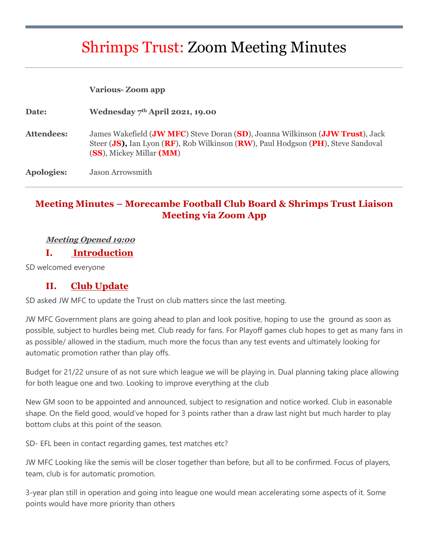# Shrimps Trust: Zoom Meeting Minutes

|                   | <b>Various-Zoom app</b>                                                                                                                                                                       |
|-------------------|-----------------------------------------------------------------------------------------------------------------------------------------------------------------------------------------------|
| Date:             | Wednesday $7th$ April 2021, 19.00                                                                                                                                                             |
| <b>Attendees:</b> | James Wakefield (JW MFC) Steve Doran (SD), Joanna Wilkinson (JJW Trust), Jack<br>Steer (JS), Ian Lyon (RF), Rob Wilkinson (RW), Paul Hodgson (PH), Steve Sandoval<br>(SS), Mickey Millar (MM) |
| <b>Apologies:</b> | Jason Arrowsmith                                                                                                                                                                              |

# **Meeting Minutes – Morecambe Football Club Board & Shrimps Trust Liaison Meeting via Zoom App**

#### **Meeting Opened 19:00**

#### **I. Introduction**

SD welcomed everyone

#### **II. Club Update**

SD asked JW MFC to update the Trust on club matters since the last meeting.

JW MFC Government plans are going ahead to plan and look positive, hoping to use the ground as soon as possible, subject to hurdles being met. Club ready for fans. For Playoff games club hopes to get as many fans in as possible/ allowed in the stadium, much more the focus than any test events and ultimately looking for automatic promotion rather than play offs.

Budget for 21/22 unsure of as not sure which league we will be playing in. Dual planning taking place allowing for both league one and two. Looking to improve everything at the club

New GM soon to be appointed and announced, subject to resignation and notice worked. Club in easonable shape. On the field good, would've hoped for 3 points rather than a draw last night but much harder to play bottom clubs at this point of the season.

SD- EFL been in contact regarding games, test matches etc?

JW MFC Looking like the semis will be closer together than before, but all to be confirmed. Focus of players, team, club is for automatic promotion.

3-year plan still in operation and going into league one would mean accelerating some aspects of it. Some points would have more priority than others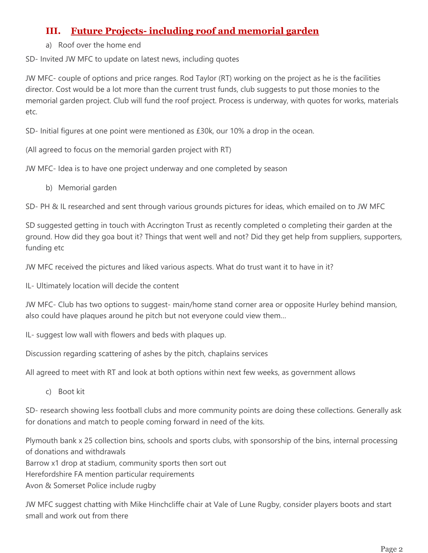# **III. Future Projects- including roof and memorial garden**

a) Roof over the home end

SD- Invited JW MFC to update on latest news, including quotes

JW MFC- couple of options and price ranges. Rod Taylor (RT) working on the project as he is the facilities director. Cost would be a lot more than the current trust funds, club suggests to put those monies to the memorial garden project. Club will fund the roof project. Process is underway, with quotes for works, materials etc.

SD- Initial figures at one point were mentioned as £30k, our 10% a drop in the ocean.

(All agreed to focus on the memorial garden project with RT)

JW MFC- Idea is to have one project underway and one completed by season

b) Memorial garden

SD- PH & IL researched and sent through various grounds pictures for ideas, which emailed on to JW MFC

SD suggested getting in touch with Accrington Trust as recently completed o completing their garden at the ground. How did they goa bout it? Things that went well and not? Did they get help from suppliers, supporters, funding etc

JW MFC received the pictures and liked various aspects. What do trust want it to have in it?

IL- Ultimately location will decide the content

JW MFC- Club has two options to suggest- main/home stand corner area or opposite Hurley behind mansion, also could have plaques around he pitch but not everyone could view them…

IL- suggest low wall with flowers and beds with plaques up.

Discussion regarding scattering of ashes by the pitch, chaplains services

All agreed to meet with RT and look at both options within next few weeks, as government allows

c) Boot kit

SD- research showing less football clubs and more community points are doing these collections. Generally ask for donations and match to people coming forward in need of the kits.

Plymouth bank x 25 collection bins, schools and sports clubs, with sponsorship of the bins, internal processing of donations and withdrawals Barrow x1 drop at stadium, community sports then sort out Herefordshire FA mention particular requirements Avon & Somerset Police include rugby

JW MFC suggest chatting with Mike Hinchcliffe chair at Vale of Lune Rugby, consider players boots and start small and work out from there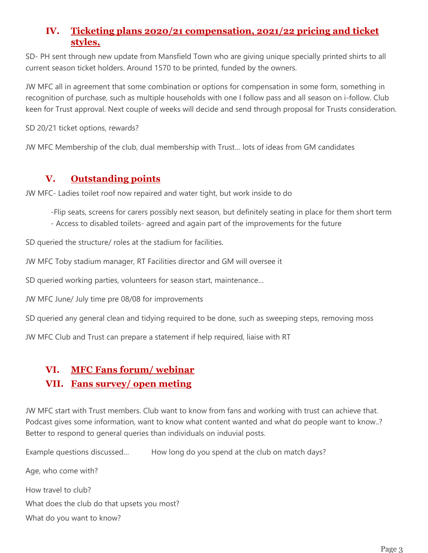# **IV. Ticketing plans 2020/21 compensation, 2021/22 pricing and ticket styles,**

SD- PH sent through new update from Mansfield Town who are giving unique specially printed shirts to all current season ticket holders. Around 1570 to be printed, funded by the owners.

JW MFC all in agreement that some combination or options for compensation in some form, something in recognition of purchase, such as multiple households with one I follow pass and all season on i-follow. Club keen for Trust approval. Next couple of weeks will decide and send through proposal for Trusts consideration.

SD 20/21 ticket options, rewards?

JW MFC Membership of the club, dual membership with Trust… lots of ideas from GM candidates

### **V. Outstanding points**

JW MFC- Ladies toilet roof now repaired and water tight, but work inside to do

-Flip seats, screens for carers possibly next season, but definitely seating in place for them short term

- Access to disabled toilets- agreed and again part of the improvements for the future

SD queried the structure/ roles at the stadium for facilities.

JW MFC Toby stadium manager, RT Facilities director and GM will oversee it

SD queried working parties, volunteers for season start, maintenance…

JW MFC June/ July time pre 08/08 for improvements

SD queried any general clean and tidying required to be done, such as sweeping steps, removing moss

JW MFC Club and Trust can prepare a statement if help required, liaise with RT

## **VI. MFC Fans forum/ webinar**

#### **VII. Fans survey/ open meting**

JW MFC start with Trust members. Club want to know from fans and working with trust can achieve that. Podcast gives some information, want to know what content wanted and what do people want to know..? Better to respond to general queries than individuals on induvial posts.

Example questions discussed... How long do you spend at the club on match days?

Age, who come with? How travel to club? What does the club do that upsets you most? What do you want to know?